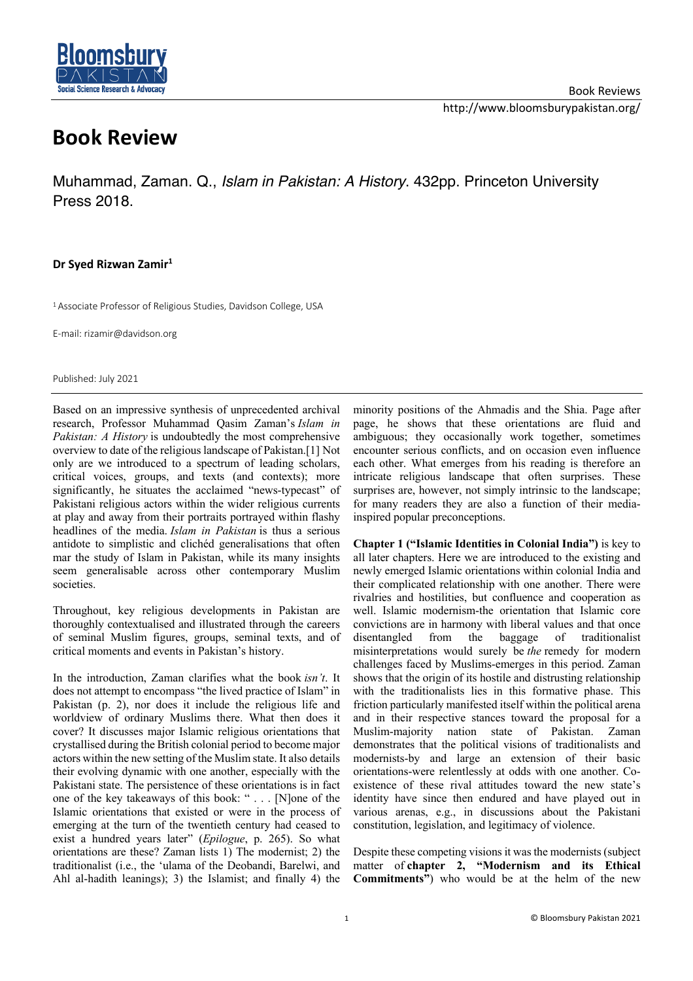

## **Book Review**

Muhammad, Zaman. Q., *Islam in Pakistan: A History*. 432pp. Princeton University Press 2018.

## **Dr Syed Rizwan Zamir1**

<sup>1</sup> Associate Professor of Religious Studies, Davidson College, USA

E-mail: rizamir@davidson.org

Published: July 2021

Based on an impressive synthesis of unprecedented archival research, Professor Muhammad Qasim Zaman's *Islam in Pakistan: A History* is undoubtedly the most comprehensive overview to date of the religious landscape of Pakistan.[1] Not only are we introduced to a spectrum of leading scholars, critical voices, groups, and texts (and contexts); more significantly, he situates the acclaimed "news-typecast" of Pakistani religious actors within the wider religious currents at play and away from their portraits portrayed within flashy headlines of the media. *Islam in Pakistan* is thus a serious antidote to simplistic and clichéd generalisations that often mar the study of Islam in Pakistan, while its many insights seem generalisable across other contemporary Muslim societies.

Throughout, key religious developments in Pakistan are thoroughly contextualised and illustrated through the careers of seminal Muslim figures, groups, seminal texts, and of critical moments and events in Pakistan's history.

In the introduction, Zaman clarifies what the book *isn't*. It does not attempt to encompass "the lived practice of Islam" in Pakistan (p. 2), nor does it include the religious life and worldview of ordinary Muslims there. What then does it cover? It discusses major Islamic religious orientations that crystallised during the British colonial period to become major actors within the new setting of the Muslim state. It also details their evolving dynamic with one another, especially with the Pakistani state. The persistence of these orientations is in fact one of the key takeaways of this book: " . . . [N]one of the Islamic orientations that existed or were in the process of emerging at the turn of the twentieth century had ceased to exist a hundred years later" (*Epilogue*, p. 265). So what orientations are these? Zaman lists 1) The modernist; 2) the traditionalist (i.e., the 'ulama of the Deobandi, Barelwi, and Ahl al-hadith leanings); 3) the Islamist; and finally 4) the

minority positions of the Ahmadis and the Shia. Page after page, he shows that these orientations are fluid and ambiguous; they occasionally work together, sometimes encounter serious conflicts, and on occasion even influence each other. What emerges from his reading is therefore an intricate religious landscape that often surprises. These surprises are, however, not simply intrinsic to the landscape; for many readers they are also a function of their mediainspired popular preconceptions.

**Chapter 1 ("Islamic Identities in Colonial India")** is key to all later chapters. Here we are introduced to the existing and newly emerged Islamic orientations within colonial India and their complicated relationship with one another. There were rivalries and hostilities, but confluence and cooperation as well. Islamic modernism-the orientation that Islamic core convictions are in harmony with liberal values and that once disentangled from the baggage of traditionalist misinterpretations would surely be *the* remedy for modern challenges faced by Muslims-emerges in this period. Zaman shows that the origin of its hostile and distrusting relationship with the traditionalists lies in this formative phase. This friction particularly manifested itself within the political arena and in their respective stances toward the proposal for a Muslim-majority nation state of Pakistan. Zaman demonstrates that the political visions of traditionalists and modernists-by and large an extension of their basic orientations-were relentlessly at odds with one another. Coexistence of these rival attitudes toward the new state's identity have since then endured and have played out in various arenas, e.g., in discussions about the Pakistani constitution, legislation, and legitimacy of violence.

Despite these competing visions it was the modernists (subject matter of **chapter 2, "Modernism and its Ethical Commitments"**) who would be at the helm of the new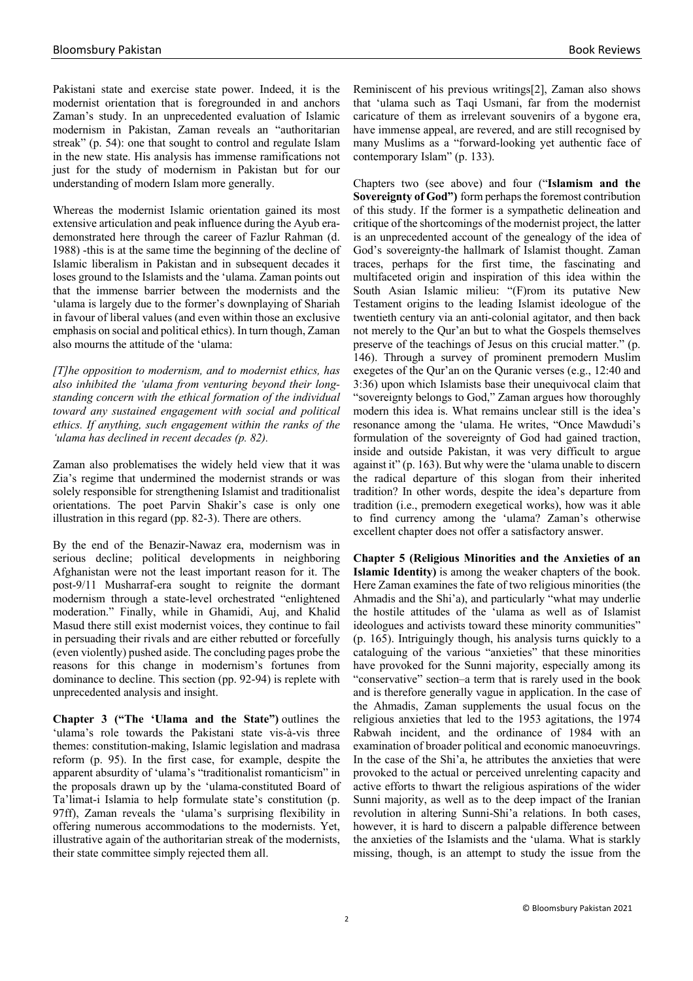Pakistani state and exercise state power. Indeed, it is the modernist orientation that is foregrounded in and anchors Zaman's study. In an unprecedented evaluation of Islamic modernism in Pakistan, Zaman reveals an "authoritarian streak" (p. 54): one that sought to control and regulate Islam in the new state. His analysis has immense ramifications not just for the study of modernism in Pakistan but for our understanding of modern Islam more generally.

Whereas the modernist Islamic orientation gained its most extensive articulation and peak influence during the Ayub erademonstrated here through the career of Fazlur Rahman (d. 1988) -this is at the same time the beginning of the decline of Islamic liberalism in Pakistan and in subsequent decades it loses ground to the Islamists and the 'ulama. Zaman points out that the immense barrier between the modernists and the 'ulama is largely due to the former's downplaying of Shariah in favour of liberal values (and even within those an exclusive emphasis on social and political ethics). In turn though, Zaman also mourns the attitude of the 'ulama:

*[T]he opposition to modernism, and to modernist ethics, has also inhibited the 'ulama from venturing beyond their longstanding concern with the ethical formation of the individual toward any sustained engagement with social and political ethics. If anything, such engagement within the ranks of the 'ulama has declined in recent decades (p. 82).*

Zaman also problematises the widely held view that it was Zia's regime that undermined the modernist strands or was solely responsible for strengthening Islamist and traditionalist orientations. The poet Parvin Shakir's case is only one illustration in this regard (pp. 82-3). There are others.

By the end of the Benazir-Nawaz era, modernism was in serious decline; political developments in neighboring Afghanistan were not the least important reason for it. The post-9/11 Musharraf-era sought to reignite the dormant modernism through a state-level orchestrated "enlightened moderation." Finally, while in Ghamidi, Auj, and Khalid Masud there still exist modernist voices, they continue to fail in persuading their rivals and are either rebutted or forcefully (even violently) pushed aside. The concluding pages probe the reasons for this change in modernism's fortunes from dominance to decline. This section (pp. 92-94) is replete with unprecedented analysis and insight.

**Chapter 3 ("The 'Ulama and the State")** outlines the 'ulama's role towards the Pakistani state vis-à-vis three themes: constitution-making, Islamic legislation and madrasa reform (p. 95). In the first case, for example, despite the apparent absurdity of 'ulama's "traditionalist romanticism" in the proposals drawn up by the 'ulama-constituted Board of Ta'limat-i Islamia to help formulate state's constitution (p. 97ff), Zaman reveals the 'ulama's surprising flexibility in offering numerous accommodations to the modernists. Yet, illustrative again of the authoritarian streak of the modernists, their state committee simply rejected them all.

Reminiscent of his previous writings[2], Zaman also shows that 'ulama such as Taqi Usmani, far from the modernist caricature of them as irrelevant souvenirs of a bygone era, have immense appeal, are revered, and are still recognised by many Muslims as a "forward-looking yet authentic face of contemporary Islam" (p. 133).

Chapters two (see above) and four ("**Islamism and the Sovereignty of God")** form perhaps the foremost contribution of this study. If the former is a sympathetic delineation and critique of the shortcomings of the modernist project, the latter is an unprecedented account of the genealogy of the idea of God's sovereignty-the hallmark of Islamist thought. Zaman traces, perhaps for the first time, the fascinating and multifaceted origin and inspiration of this idea within the South Asian Islamic milieu: "(F)rom its putative New Testament origins to the leading Islamist ideologue of the twentieth century via an anti-colonial agitator, and then back not merely to the Qur'an but to what the Gospels themselves preserve of the teachings of Jesus on this crucial matter." (p. 146). Through a survey of prominent premodern Muslim exegetes of the Qur'an on the Quranic verses (e.g., 12:40 and 3:36) upon which Islamists base their unequivocal claim that "sovereignty belongs to God," Zaman argues how thoroughly modern this idea is. What remains unclear still is the idea's resonance among the 'ulama. He writes, "Once Mawdudi's formulation of the sovereignty of God had gained traction, inside and outside Pakistan, it was very difficult to argue against it" (p. 163). But why were the 'ulama unable to discern the radical departure of this slogan from their inherited tradition? In other words, despite the idea's departure from tradition (i.e., premodern exegetical works), how was it able to find currency among the 'ulama? Zaman's otherwise excellent chapter does not offer a satisfactory answer.

**Chapter 5 (Religious Minorities and the Anxieties of an Islamic Identity)** is among the weaker chapters of the book. Here Zaman examines the fate of two religious minorities (the Ahmadis and the Shi'a), and particularly "what may underlie the hostile attitudes of the 'ulama as well as of Islamist ideologues and activists toward these minority communities" (p. 165). Intriguingly though, his analysis turns quickly to a cataloguing of the various "anxieties" that these minorities have provoked for the Sunni majority, especially among its "conservative" section–a term that is rarely used in the book and is therefore generally vague in application. In the case of the Ahmadis, Zaman supplements the usual focus on the religious anxieties that led to the 1953 agitations, the 1974 Rabwah incident, and the ordinance of 1984 with an examination of broader political and economic manoeuvrings. In the case of the Shi'a, he attributes the anxieties that were provoked to the actual or perceived unrelenting capacity and active efforts to thwart the religious aspirations of the wider Sunni majority, as well as to the deep impact of the Iranian revolution in altering Sunni-Shi'a relations. In both cases, however, it is hard to discern a palpable difference between the anxieties of the Islamists and the 'ulama. What is starkly missing, though, is an attempt to study the issue from the